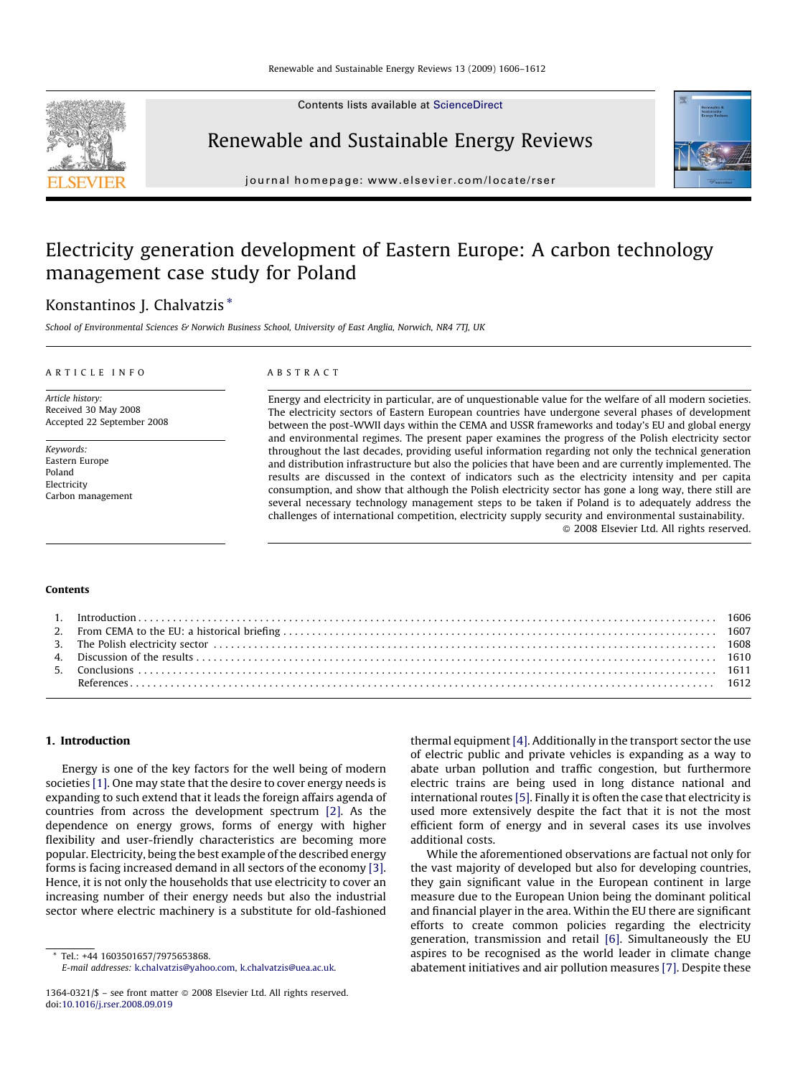Contents lists available at [ScienceDirect](http://www.sciencedirect.com/science/journal/13640321)





journal homepage: www.elsevier.com/locate/rser

# Electricity generation development of Eastern Europe: A carbon technology management case study for Poland

# Konstantinos J. Chalvatzis \*

School of Environmental Sciences & Norwich Business School, University of East Anglia, Norwich, NR4 7TJ, UK

#### ARTICLE INFO

#### ABSTRACT

Article history: Received 30 May 2008 Accepted 22 September 2008

Keywords: Eastern Europe Poland Electricity Carbon management Energy and electricity in particular, are of unquestionable value for the welfare of all modern societies. The electricity sectors of Eastern European countries have undergone several phases of development between the post-WWII days within the CEMA and USSR frameworks and today's EU and global energy and environmental regimes. The present paper examines the progress of the Polish electricity sector throughout the last decades, providing useful information regarding not only the technical generation and distribution infrastructure but also the policies that have been and are currently implemented. The results are discussed in the context of indicators such as the electricity intensity and per capita consumption, and show that although the Polish electricity sector has gone a long way, there still are several necessary technology management steps to be taken if Poland is to adequately address the challenges of international competition, electricity supply security and environmental sustainability. - 2008 Elsevier Ltd. All rights reserved.

## Contents

# 1. Introduction

Energy is one of the key factors for the well being of modern societies [\[1\]](#page-6-0). One may state that the desire to cover energy needs is expanding to such extend that it leads the foreign affairs agenda of countries from across the development spectrum [\[2\]](#page-6-0). As the dependence on energy grows, forms of energy with higher flexibility and user-friendly characteristics are becoming more popular. Electricity, being the best example of the described energy forms is facing increased demand in all sectors of the economy [\[3\].](#page-6-0) Hence, it is not only the households that use electricity to cover an increasing number of their energy needs but also the industrial sector where electric machinery is a substitute for old-fashioned

Tel.: +44 1603501657/7975653868.

E-mail addresses: [k.chalvatzis@yahoo.com](mailto:k.chalvatzis@yahoo.com), [k.chalvatzis@uea.ac.uk](mailto:k.chalvatzis@uea.ac.uk).

thermal equipment [\[4\].](#page-6-0) Additionally in the transport sector the use of electric public and private vehicles is expanding as a way to abate urban pollution and traffic congestion, but furthermore electric trains are being used in long distance national and international routes [\[5\].](#page-6-0) Finally it is often the case that electricity is used more extensively despite the fact that it is not the most efficient form of energy and in several cases its use involves additional costs.

While the aforementioned observations are factual not only for the vast majority of developed but also for developing countries, they gain significant value in the European continent in large measure due to the European Union being the dominant political and financial player in the area. Within the EU there are significant efforts to create common policies regarding the electricity generation, transmission and retail [\[6\].](#page-6-0) Simultaneously the EU aspires to be recognised as the world leader in climate change abatement initiatives and air pollution measures [\[7\].](#page-6-0) Despite these

<sup>1364-0321/\$ -</sup> see front matter @ 2008 Elsevier Ltd. All rights reserved. doi:[10.1016/j.rser.2008.09.019](http://dx.doi.org/10.1016/j.rser.2008.09.019)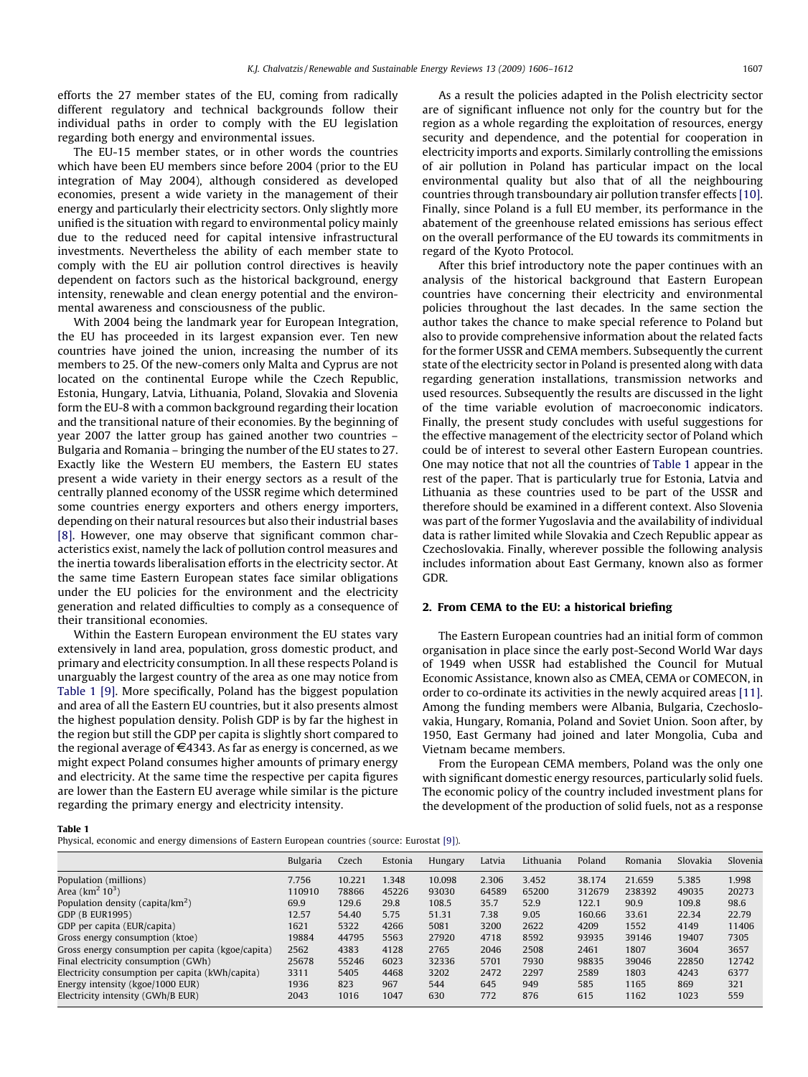efforts the 27 member states of the EU, coming from radically different regulatory and technical backgrounds follow their individual paths in order to comply with the EU legislation regarding both energy and environmental issues.

The EU-15 member states, or in other words the countries which have been EU members since before 2004 (prior to the EU integration of May 2004), although considered as developed economies, present a wide variety in the management of their energy and particularly their electricity sectors. Only slightly more unified is the situation with regard to environmental policy mainly due to the reduced need for capital intensive infrastructural investments. Nevertheless the ability of each member state to comply with the EU air pollution control directives is heavily dependent on factors such as the historical background, energy intensity, renewable and clean energy potential and the environmental awareness and consciousness of the public.

With 2004 being the landmark year for European Integration, the EU has proceeded in its largest expansion ever. Ten new countries have joined the union, increasing the number of its members to 25. Of the new-comers only Malta and Cyprus are not located on the continental Europe while the Czech Republic, Estonia, Hungary, Latvia, Lithuania, Poland, Slovakia and Slovenia form the EU-8 with a common background regarding their location and the transitional nature of their economies. By the beginning of year 2007 the latter group has gained another two countries – Bulgaria and Romania – bringing the number of the EU states to 27. Exactly like the Western EU members, the Eastern EU states present a wide variety in their energy sectors as a result of the centrally planned economy of the USSR regime which determined some countries energy exporters and others energy importers, depending on their natural resources but also their industrial bases [\[8\]](#page-6-0). However, one may observe that significant common characteristics exist, namely the lack of pollution control measures and the inertia towards liberalisation efforts in the electricity sector. At the same time Eastern European states face similar obligations under the EU policies for the environment and the electricity generation and related difficulties to comply as a consequence of their transitional economies.

Within the Eastern European environment the EU states vary extensively in land area, population, gross domestic product, and primary and electricity consumption. In all these respects Poland is unarguably the largest country of the area as one may notice from Table 1 [\[9\]](#page-6-0). More specifically, Poland has the biggest population and area of all the Eastern EU countries, but it also presents almost the highest population density. Polish GDP is by far the highest in the region but still the GDP per capita is slightly short compared to the regional average of  $\epsilon$ 4343. As far as energy is concerned, as we might expect Poland consumes higher amounts of primary energy and electricity. At the same time the respective per capita figures are lower than the Eastern EU average while similar is the picture regarding the primary energy and electricity intensity.

As a result the policies adapted in the Polish electricity sector are of significant influence not only for the country but for the region as a whole regarding the exploitation of resources, energy security and dependence, and the potential for cooperation in electricity imports and exports. Similarly controlling the emissions of air pollution in Poland has particular impact on the local environmental quality but also that of all the neighbouring countries through transboundary air pollution transfer effects [\[10\].](#page-6-0) Finally, since Poland is a full EU member, its performance in the abatement of the greenhouse related emissions has serious effect on the overall performance of the EU towards its commitments in regard of the Kyoto Protocol.

After this brief introductory note the paper continues with an analysis of the historical background that Eastern European countries have concerning their electricity and environmental policies throughout the last decades. In the same section the author takes the chance to make special reference to Poland but also to provide comprehensive information about the related facts for the former USSR and CEMA members. Subsequently the current state of the electricity sector in Poland is presented along with data regarding generation installations, transmission networks and used resources. Subsequently the results are discussed in the light of the time variable evolution of macroeconomic indicators. Finally, the present study concludes with useful suggestions for the effective management of the electricity sector of Poland which could be of interest to several other Eastern European countries. One may notice that not all the countries of Table 1 appear in the rest of the paper. That is particularly true for Estonia, Latvia and Lithuania as these countries used to be part of the USSR and therefore should be examined in a different context. Also Slovenia was part of the former Yugoslavia and the availability of individual data is rather limited while Slovakia and Czech Republic appear as Czechoslovakia. Finally, wherever possible the following analysis includes information about East Germany, known also as former GDR.

# 2. From CEMA to the EU: a historical briefing

The Eastern European countries had an initial form of common organisation in place since the early post-Second World War days of 1949 when USSR had established the Council for Mutual Economic Assistance, known also as CMEA, CEMA or COMECON, in order to co-ordinate its activities in the newly acquired areas [\[11\].](#page-6-0) Among the funding members were Albania, Bulgaria, Czechoslovakia, Hungary, Romania, Poland and Soviet Union. Soon after, by 1950, East Germany had joined and later Mongolia, Cuba and Vietnam became members.

From the European CEMA members, Poland was the only one with significant domestic energy resources, particularly solid fuels. The economic policy of the country included investment plans for the development of the production of solid fuels, not as a response

Table 1

Physical, economic and energy dimensions of Eastern European countries (source: Eurostat [\[9\]\)](#page-6-0).

|                                                   | <b>Bulgaria</b> | Czech  | Estonia | Hungary | Latvia | Lithuania | Poland | Romania | Slovakia | Slovenia |
|---------------------------------------------------|-----------------|--------|---------|---------|--------|-----------|--------|---------|----------|----------|
| Population (millions)                             | 7.756           | 10.221 | .348    | 10.098  | 2.306  | 3.452     | 38.174 | 21.659  | 5.385    | 1.998    |
| Area (km <sup>2</sup> 10 <sup>3</sup> )           | 110910          | 78866  | 45226   | 93030   | 64589  | 65200     | 312679 | 238392  | 49035    | 20273    |
| Population density (capita/km <sup>2</sup> )      | 69.9            | 129.6  | 29.8    | 108.5   | 35.7   | 52.9      | 122.1  | 90.9    | 109.8    | 98.6     |
| GDP (B EUR1995)                                   | 12.57           | 54.40  | 5.75    | 51.31   | 7.38   | 9.05      | 160.66 | 33.61   | 22.34    | 22.79    |
| GDP per capita (EUR/capita)                       | 1621            | 5322   | 4266    | 5081    | 3200   | 2622      | 4209   | 1552    | 4149     | 11406    |
| Gross energy consumption (ktoe)                   | 19884           | 44795  | 5563    | 27920   | 4718   | 8592      | 93935  | 39146   | 19407    | 7305     |
| Gross energy consumption per capita (kgoe/capita) | 2562            | 4383   | 4128    | 2765    | 2046   | 2508      | 2461   | 1807    | 3604     | 3657     |
| Final electricity consumption (GWh)               | 25678           | 55246  | 6023    | 32336   | 5701   | 7930      | 98835  | 39046   | 22850    | 12742    |
| Electricity consumption per capita (kWh/capita)   | 3311            | 5405   | 4468    | 3202    | 2472   | 2297      | 2589   | 1803    | 4243     | 6377     |
| Energy intensity (kgoe/1000 EUR)                  | 1936            | 823    | 967     | 544     | 645    | 949       | 585    | 1165    | 869      | 321      |
| Electricity intensity (GWh/B EUR)                 | 2043            | 1016   | 1047    | 630     | 772    | 876       | 615    | 1162    | 1023     | 559      |
|                                                   |                 |        |         |         |        |           |        |         |          |          |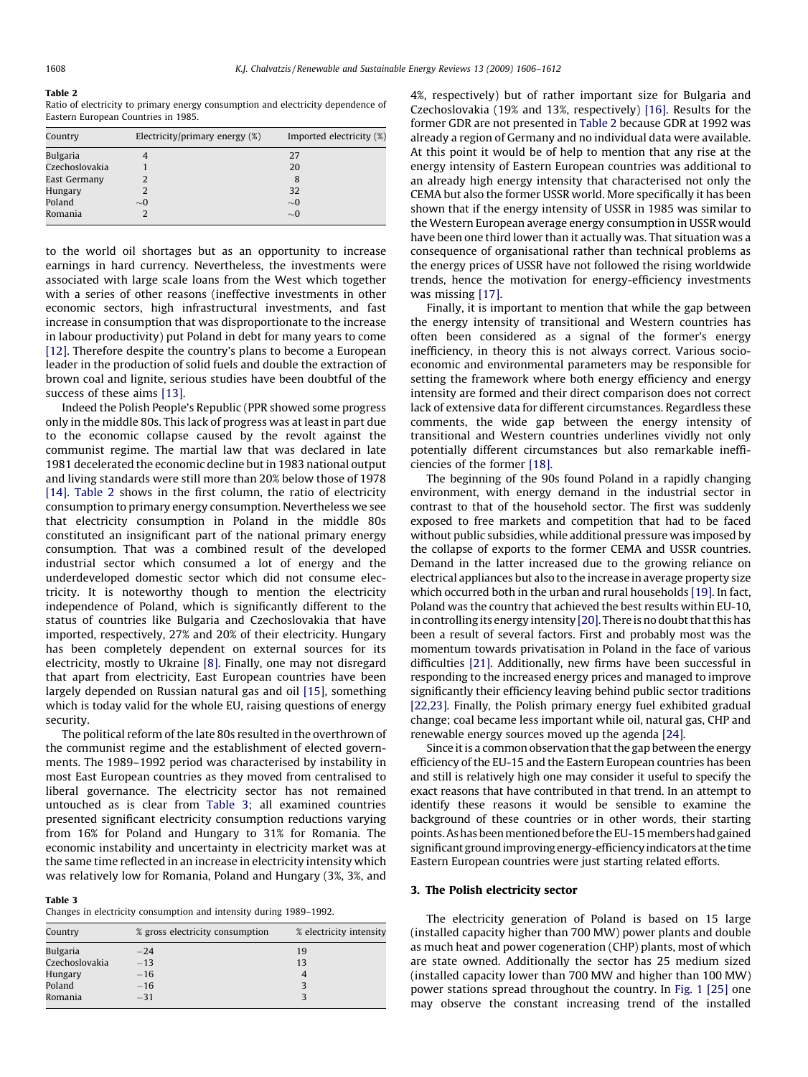#### Table 2

Ratio of electricity to primary energy consumption and electricity dependence of Eastern European Countries in 1985.

| Country        | Electricity/primary energy $(\%)$ | Imported electricity (%) |
|----------------|-----------------------------------|--------------------------|
| Bulgaria       |                                   | 27                       |
| Czechoslovakia |                                   | 20                       |
| East Germany   |                                   |                          |
| Hungary        | 2                                 | 32                       |
| Poland         | $\sim 0$                          | $\sim 0$                 |
| Romania        |                                   | $\sim 0$                 |

to the world oil shortages but as an opportunity to increase earnings in hard currency. Nevertheless, the investments were associated with large scale loans from the West which together with a series of other reasons (ineffective investments in other economic sectors, high infrastructural investments, and fast increase in consumption that was disproportionate to the increase in labour productivity) put Poland in debt for many years to come [\[12\]](#page-6-0). Therefore despite the country's plans to become a European leader in the production of solid fuels and double the extraction of brown coal and lignite, serious studies have been doubtful of the success of these aims [\[13\].](#page-6-0)

Indeed the Polish People's Republic (PPR showed some progress only in the middle 80s. This lack of progress was at least in part due to the economic collapse caused by the revolt against the communist regime. The martial law that was declared in late 1981 decelerated the economic decline but in 1983 national output and living standards were still more than 20% below those of 1978 [\[14\]](#page-6-0). Table 2 shows in the first column, the ratio of electricity consumption to primary energy consumption. Nevertheless we see that electricity consumption in Poland in the middle 80s constituted an insignificant part of the national primary energy consumption. That was a combined result of the developed industrial sector which consumed a lot of energy and the underdeveloped domestic sector which did not consume electricity. It is noteworthy though to mention the electricity independence of Poland, which is significantly different to the status of countries like Bulgaria and Czechoslovakia that have imported, respectively, 27% and 20% of their electricity. Hungary has been completely dependent on external sources for its electricity, mostly to Ukraine [\[8\].](#page-6-0) Finally, one may not disregard that apart from electricity, East European countries have been largely depended on Russian natural gas and oil [\[15\]](#page-6-0), something which is today valid for the whole EU, raising questions of energy security.

The political reform of the late 80s resulted in the overthrown of the communist regime and the establishment of elected governments. The 1989–1992 period was characterised by instability in most East European countries as they moved from centralised to liberal governance. The electricity sector has not remained untouched as is clear from Table 3; all examined countries presented significant electricity consumption reductions varying from 16% for Poland and Hungary to 31% for Romania. The economic instability and uncertainty in electricity market was at the same time reflected in an increase in electricity intensity which was relatively low for Romania, Poland and Hungary (3%, 3%, and

#### Table 3

Changes in electricity consumption and intensity during 1989–1992.

| Country        | % gross electricity consumption | % electricity intensity |
|----------------|---------------------------------|-------------------------|
| Bulgaria       | $-24$                           | 19                      |
| Czechoslovakia | $-13$                           | 13                      |
| Hungary        | $-16$                           | 4                       |
| Poland         | $-16$                           | 3                       |
| Romania        | $-31$                           | 3                       |

4%, respectively) but of rather important size for Bulgaria and Czechoslovakia (19% and 13%, respectively) [\[16\]](#page-6-0). Results for the former GDR are not presented in Table 2 because GDR at 1992 was already a region of Germany and no individual data were available. At this point it would be of help to mention that any rise at the energy intensity of Eastern European countries was additional to an already high energy intensity that characterised not only the CEMA but also the former USSR world. More specifically it has been shown that if the energy intensity of USSR in 1985 was similar to the Western European average energy consumption in USSR would have been one third lower than it actually was. That situation was a consequence of organisational rather than technical problems as the energy prices of USSR have not followed the rising worldwide trends, hence the motivation for energy-efficiency investments was missing [\[17\].](#page-6-0)

Finally, it is important to mention that while the gap between the energy intensity of transitional and Western countries has often been considered as a signal of the former's energy inefficiency, in theory this is not always correct. Various socioeconomic and environmental parameters may be responsible for setting the framework where both energy efficiency and energy intensity are formed and their direct comparison does not correct lack of extensive data for different circumstances. Regardless these comments, the wide gap between the energy intensity of transitional and Western countries underlines vividly not only potentially different circumstances but also remarkable inefficiencies of the former [\[18\].](#page-6-0)

The beginning of the 90s found Poland in a rapidly changing environment, with energy demand in the industrial sector in contrast to that of the household sector. The first was suddenly exposed to free markets and competition that had to be faced without public subsidies, while additional pressure was imposed by the collapse of exports to the former CEMA and USSR countries. Demand in the latter increased due to the growing reliance on electrical appliances but also to the increase in average property size which occurred both in the urban and rural households [\[19\].](#page-6-0) In fact, Poland was the country that achieved the best results within EU-10, in controlling its energy intensity [\[20\]](#page-6-0). There is no doubt that this has been a result of several factors. First and probably most was the momentum towards privatisation in Poland in the face of various difficulties [\[21\]](#page-6-0). Additionally, new firms have been successful in responding to the increased energy prices and managed to improve significantly their efficiency leaving behind public sector traditions [\[22,23\]](#page-6-0). Finally, the Polish primary energy fuel exhibited gradual change; coal became less important while oil, natural gas, CHP and renewable energy sources moved up the agenda [\[24\].](#page-6-0)

Since it is a common observation that the gap between the energy efficiency of the EU-15 and the Eastern European countries has been and still is relatively high one may consider it useful to specify the exact reasons that have contributed in that trend. In an attempt to identify these reasons it would be sensible to examine the background of these countries or in other words, their starting points.As has beenmentioned before the EU-15members had gained significant ground improving energy-efficiency indicators at the time Eastern European countries were just starting related efforts.

# 3. The Polish electricity sector

The electricity generation of Poland is based on 15 large (installed capacity higher than 700 MW) power plants and double as much heat and power cogeneration (CHP) plants, most of which are state owned. Additionally the sector has 25 medium sized (installed capacity lower than 700 MW and higher than 100 MW) power stations spread throughout the country. In [Fig. 1](#page-3-0) [\[25\]](#page-6-0) one may observe the constant increasing trend of the installed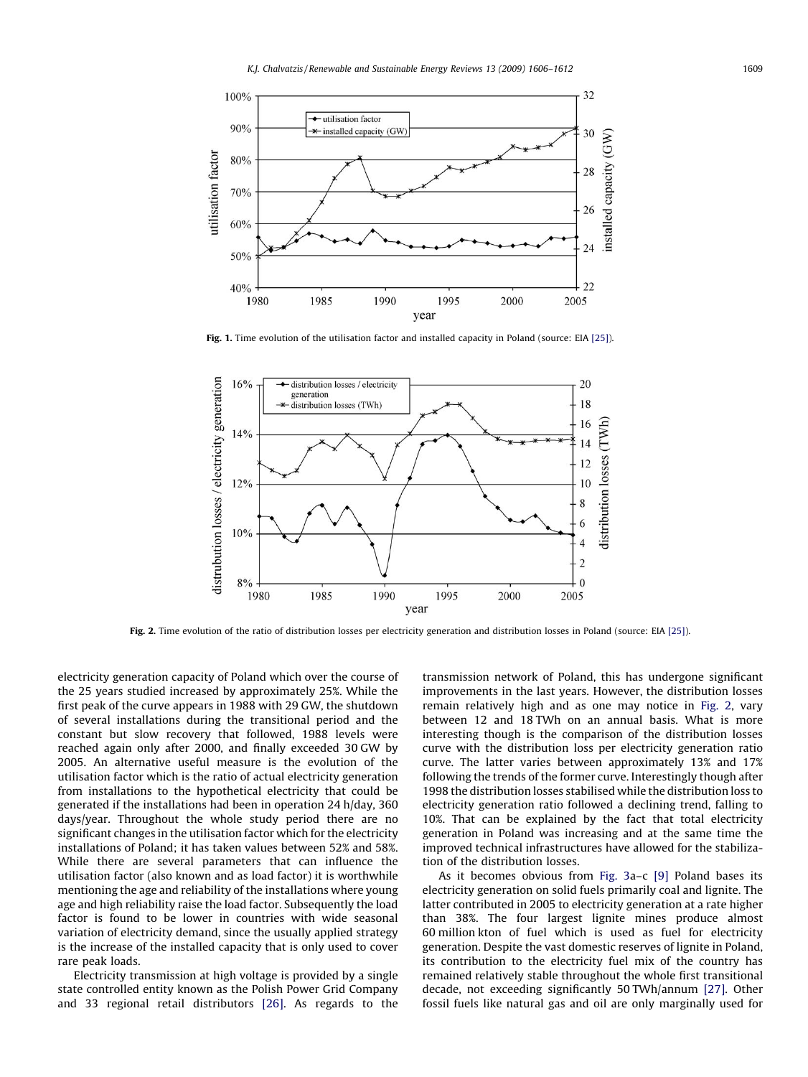<span id="page-3-0"></span>

Fig. 1. Time evolution of the utilisation factor and installed capacity in Poland (source: EIA [\[25\]\)](#page-6-0).



Fig. 2. Time evolution of the ratio of distribution losses per electricity generation and distribution losses in Poland (source: EIA [\[25\]](#page-6-0)).

electricity generation capacity of Poland which over the course of the 25 years studied increased by approximately 25%. While the first peak of the curve appears in 1988 with 29 GW, the shutdown of several installations during the transitional period and the constant but slow recovery that followed, 1988 levels were reached again only after 2000, and finally exceeded 30 GW by 2005. An alternative useful measure is the evolution of the utilisation factor which is the ratio of actual electricity generation from installations to the hypothetical electricity that could be generated if the installations had been in operation 24 h/day, 360 days/year. Throughout the whole study period there are no significant changes in the utilisation factor which for the electricity installations of Poland; it has taken values between 52% and 58%. While there are several parameters that can influence the utilisation factor (also known and as load factor) it is worthwhile mentioning the age and reliability of the installations where young age and high reliability raise the load factor. Subsequently the load factor is found to be lower in countries with wide seasonal variation of electricity demand, since the usually applied strategy is the increase of the installed capacity that is only used to cover rare peak loads.

Electricity transmission at high voltage is provided by a single state controlled entity known as the Polish Power Grid Company and 33 regional retail distributors [\[26\]](#page-6-0). As regards to the transmission network of Poland, this has undergone significant improvements in the last years. However, the distribution losses remain relatively high and as one may notice in Fig. 2, vary between 12 and 18 TWh on an annual basis. What is more interesting though is the comparison of the distribution losses curve with the distribution loss per electricity generation ratio curve. The latter varies between approximately 13% and 17% following the trends of the former curve. Interestingly though after 1998 the distribution losses stabilised while the distribution loss to electricity generation ratio followed a declining trend, falling to 10%. That can be explained by the fact that total electricity generation in Poland was increasing and at the same time the improved technical infrastructures have allowed for the stabilization of the distribution losses.

As it becomes obvious from [Fig. 3a](#page-4-0)–c [\[9\]](#page-6-0) Poland bases its electricity generation on solid fuels primarily coal and lignite. The latter contributed in 2005 to electricity generation at a rate higher than 38%. The four largest lignite mines produce almost 60 million kton of fuel which is used as fuel for electricity generation. Despite the vast domestic reserves of lignite in Poland, its contribution to the electricity fuel mix of the country has remained relatively stable throughout the whole first transitional decade, not exceeding significantly 50 TWh/annum [\[27\].](#page-6-0) Other fossil fuels like natural gas and oil are only marginally used for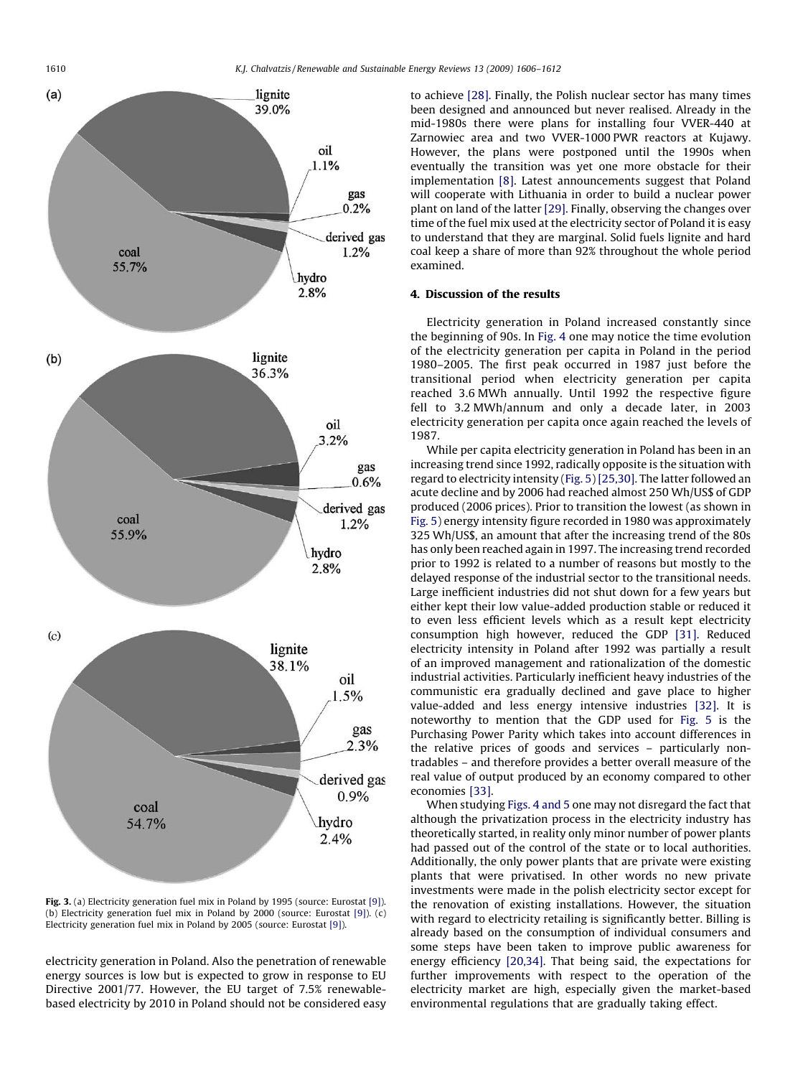<span id="page-4-0"></span>

Fig. 3. (a) Electricity generation fuel mix in Poland by 1995 (source: Eurostat [\[9\]\)](#page-6-0). (b) Electricity generation fuel mix in Poland by 2000 (source: Eurostat [\[9\]\)](#page-6-0). (c) Electricity generation fuel mix in Poland by 2005 (source: Eurostat [\[9\]\)](#page-6-0).

electricity generation in Poland. Also the penetration of renewable energy sources is low but is expected to grow in response to EU Directive 2001/77. However, the EU target of 7.5% renewablebased electricity by 2010 in Poland should not be considered easy to achieve [\[28\]](#page-6-0). Finally, the Polish nuclear sector has many times been designed and announced but never realised. Already in the mid-1980s there were plans for installing four VVER-440 at Zarnowiec area and two VVER-1000 PWR reactors at Kujawy. However, the plans were postponed until the 1990s when eventually the transition was yet one more obstacle for their implementation [\[8\].](#page-6-0) Latest announcements suggest that Poland will cooperate with Lithuania in order to build a nuclear power plant on land of the latter [\[29\]](#page-6-0). Finally, observing the changes over time of the fuel mix used at the electricity sector of Poland it is easy to understand that they are marginal. Solid fuels lignite and hard coal keep a share of more than 92% throughout the whole period examined.

# 4. Discussion of the results

Electricity generation in Poland increased constantly since the beginning of 90s. In [Fig. 4](#page-5-0) one may notice the time evolution of the electricity generation per capita in Poland in the period 1980–2005. The first peak occurred in 1987 just before the transitional period when electricity generation per capita reached 3.6 MWh annually. Until 1992 the respective figure fell to 3.2 MWh/annum and only a decade later, in 2003 electricity generation per capita once again reached the levels of 1987.

While per capita electricity generation in Poland has been in an increasing trend since 1992, radically opposite is the situation with regard to electricity intensity ([Fig. 5](#page-5-0)) [\[25,30\]](#page-6-0). The latter followed an acute decline and by 2006 had reached almost 250 Wh/US\$ of GDP produced (2006 prices). Prior to transition the lowest (as shown in [Fig. 5\)](#page-5-0) energy intensity figure recorded in 1980 was approximately 325 Wh/US\$, an amount that after the increasing trend of the 80s has only been reached again in 1997. The increasing trend recorded prior to 1992 is related to a number of reasons but mostly to the delayed response of the industrial sector to the transitional needs. Large inefficient industries did not shut down for a few years but either kept their low value-added production stable or reduced it to even less efficient levels which as a result kept electricity consumption high however, reduced the GDP [\[31\].](#page-6-0) Reduced electricity intensity in Poland after 1992 was partially a result of an improved management and rationalization of the domestic industrial activities. Particularly inefficient heavy industries of the communistic era gradually declined and gave place to higher value-added and less energy intensive industries [\[32\]](#page-6-0). It is noteworthy to mention that the GDP used for [Fig. 5](#page-5-0) is the Purchasing Power Parity which takes into account differences in the relative prices of goods and services – particularly nontradables – and therefore provides a better overall measure of the real value of output produced by an economy compared to other economies [\[33\].](#page-6-0)

When studying [Figs. 4 and 5](#page-5-0) one may not disregard the fact that although the privatization process in the electricity industry has theoretically started, in reality only minor number of power plants had passed out of the control of the state or to local authorities. Additionally, the only power plants that are private were existing plants that were privatised. In other words no new private investments were made in the polish electricity sector except for the renovation of existing installations. However, the situation with regard to electricity retailing is significantly better. Billing is already based on the consumption of individual consumers and some steps have been taken to improve public awareness for energy efficiency [\[20,34\]](#page-6-0). That being said, the expectations for further improvements with respect to the operation of the electricity market are high, especially given the market-based environmental regulations that are gradually taking effect.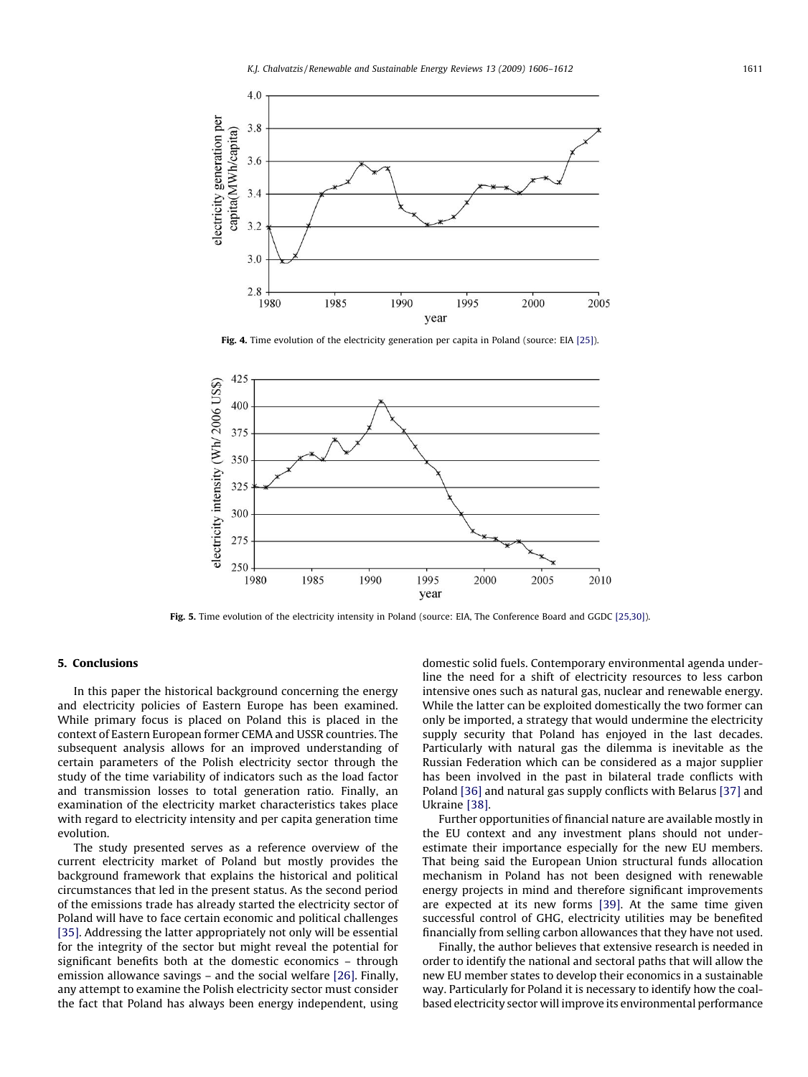<span id="page-5-0"></span>

Fig. 4. Time evolution of the electricity generation per capita in Poland (source: EIA [\[25\]\)](#page-6-0).



Fig. 5. Time evolution of the electricity intensity in Poland (source: EIA, The Conference Board and GGDC [\[25,30\]\)](#page-6-0).

## 5. Conclusions

In this paper the historical background concerning the energy and electricity policies of Eastern Europe has been examined. While primary focus is placed on Poland this is placed in the context of Eastern European former CEMA and USSR countries. The subsequent analysis allows for an improved understanding of certain parameters of the Polish electricity sector through the study of the time variability of indicators such as the load factor and transmission losses to total generation ratio. Finally, an examination of the electricity market characteristics takes place with regard to electricity intensity and per capita generation time evolution.

The study presented serves as a reference overview of the current electricity market of Poland but mostly provides the background framework that explains the historical and political circumstances that led in the present status. As the second period of the emissions trade has already started the electricity sector of Poland will have to face certain economic and political challenges [\[35\]](#page-6-0). Addressing the latter appropriately not only will be essential for the integrity of the sector but might reveal the potential for significant benefits both at the domestic economics – through emission allowance savings – and the social welfare [\[26\].](#page-6-0) Finally, any attempt to examine the Polish electricity sector must consider the fact that Poland has always been energy independent, using domestic solid fuels. Contemporary environmental agenda underline the need for a shift of electricity resources to less carbon intensive ones such as natural gas, nuclear and renewable energy. While the latter can be exploited domestically the two former can only be imported, a strategy that would undermine the electricity supply security that Poland has enjoyed in the last decades. Particularly with natural gas the dilemma is inevitable as the Russian Federation which can be considered as a major supplier has been involved in the past in bilateral trade conflicts with Poland [\[36\]](#page-6-0) and natural gas supply conflicts with Belarus [\[37\]](#page-6-0) and Ukraine [\[38\].](#page-6-0)

Further opportunities of financial nature are available mostly in the EU context and any investment plans should not underestimate their importance especially for the new EU members. That being said the European Union structural funds allocation mechanism in Poland has not been designed with renewable energy projects in mind and therefore significant improvements are expected at its new forms [\[39\]](#page-6-0). At the same time given successful control of GHG, electricity utilities may be benefited financially from selling carbon allowances that they have not used.

Finally, the author believes that extensive research is needed in order to identify the national and sectoral paths that will allow the new EU member states to develop their economics in a sustainable way. Particularly for Poland it is necessary to identify how the coalbased electricity sector will improve its environmental performance